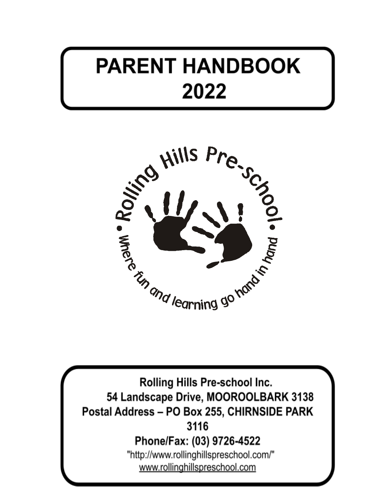# **PARENT HANDBOOK 2013**



Rolling Hills Pre-school Inc. 54 Landscape Drive, MOOROOLBARK 3138 Postal Address - PO Box 255, CHIRNSIDE PARK 3116 Phone/Fax: (03) 9726-4522 "http://www.rollinghillspreschool.com/" www.rollinghillspreschool.com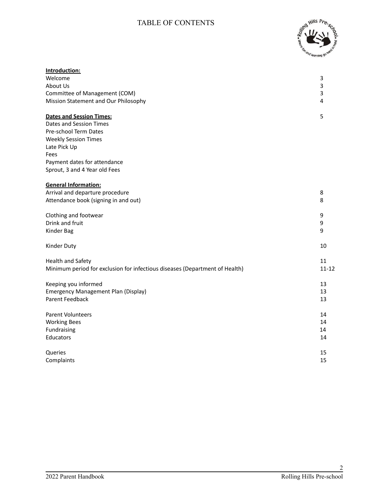# TABLE OF CONTENTS



| Welcome<br>3<br>About Us<br>3<br>Committee of Management (COM)<br>3<br>Mission Statement and Our Philosophy<br>4<br>5<br><b>Dates and Session Times:</b><br>Dates and Session Times<br>Pre-school Term Dates<br><b>Weekly Session Times</b><br>Late Pick Up<br>Fees<br>Payment dates for attendance |
|-----------------------------------------------------------------------------------------------------------------------------------------------------------------------------------------------------------------------------------------------------------------------------------------------------|
|                                                                                                                                                                                                                                                                                                     |
|                                                                                                                                                                                                                                                                                                     |
|                                                                                                                                                                                                                                                                                                     |
|                                                                                                                                                                                                                                                                                                     |
|                                                                                                                                                                                                                                                                                                     |
|                                                                                                                                                                                                                                                                                                     |
|                                                                                                                                                                                                                                                                                                     |
|                                                                                                                                                                                                                                                                                                     |
|                                                                                                                                                                                                                                                                                                     |
|                                                                                                                                                                                                                                                                                                     |
|                                                                                                                                                                                                                                                                                                     |
| Sprout, 3 and 4 Year old Fees                                                                                                                                                                                                                                                                       |
| <b>General Information:</b>                                                                                                                                                                                                                                                                         |
| Arrival and departure procedure<br>8                                                                                                                                                                                                                                                                |
| Attendance book (signing in and out)<br>8                                                                                                                                                                                                                                                           |
| Clothing and footwear<br>9                                                                                                                                                                                                                                                                          |
| Drink and fruit<br>9                                                                                                                                                                                                                                                                                |
| 9<br>Kinder Bag                                                                                                                                                                                                                                                                                     |
| 10<br>Kinder Duty                                                                                                                                                                                                                                                                                   |
| 11<br><b>Health and Safety</b>                                                                                                                                                                                                                                                                      |
| $11 - 12$<br>Minimum period for exclusion for infectious diseases (Department of Health)                                                                                                                                                                                                            |
| 13<br>Keeping you informed                                                                                                                                                                                                                                                                          |
| 13<br><b>Emergency Management Plan (Display)</b>                                                                                                                                                                                                                                                    |
| <b>Parent Feedback</b><br>13                                                                                                                                                                                                                                                                        |
| <b>Parent Volunteers</b><br>14                                                                                                                                                                                                                                                                      |
| 14<br><b>Working Bees</b>                                                                                                                                                                                                                                                                           |
| Fundraising<br>14                                                                                                                                                                                                                                                                                   |
| 14<br>Educators                                                                                                                                                                                                                                                                                     |
| Queries<br>15                                                                                                                                                                                                                                                                                       |
| 15<br>Complaints                                                                                                                                                                                                                                                                                    |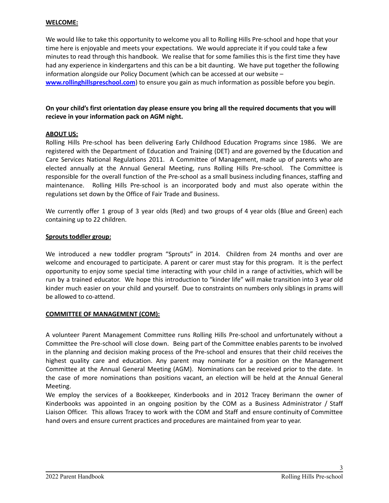#### **WELCOME:**

We would like to take this opportunity to welcome you all to Rolling Hills Pre-school and hope that your time here is enjoyable and meets your expectations. We would appreciate it if you could take a few minutes to read through this handbook. We realise that for some families this is the first time they have had any experience in kindergartens and this can be a bit daunting. We have put together the following information alongside our Policy Document (which can be accessed at our website – **[www.rollinghillspreschool.com](http://www.rollinghillspreschool.squarespace.com/)**) to ensure you gain as much information as possible before you begin.

#### **On your child's first orientation day please ensure you bring all the required documents that you will recieve in your information pack on AGM night.**

#### **ABOUT US:**

Rolling Hills Pre-school has been delivering Early Childhood Education Programs since 1986. We are registered with the Department of Education and Training (DET) and are governed by the Education and Care Services National Regulations 2011. A Committee of Management, made up of parents who are elected annually at the Annual General Meeting, runs Rolling Hills Pre-school. The Committee is responsible for the overall function of the Pre-school as a small business including finances, staffing and maintenance. Rolling Hills Pre-school is an incorporated body and must also operate within the regulations set down by the Office of Fair Trade and Business.

We currently offer 1 group of 3 year olds (Red) and two groups of 4 year olds (Blue and Green) each containing up to 22 children.

#### **Sprouts toddler group:**

We introduced a new toddler program "Sprouts" in 2014. Children from 24 months and over are welcome and encouraged to participate. A parent or carer must stay for this program. It is the perfect opportunity to enjoy some special time interacting with your child in a range of activities, which will be run by a trained educator. We hope this introduction to "kinder life" will make transition into 3 year old kinder much easier on your child and yourself. Due to constraints on numbers only siblings in prams will be allowed to co-attend.

#### **COMMITTEE OF MANAGEMENT (COM):**

A volunteer Parent Management Committee runs Rolling Hills Pre-school and unfortunately without a Committee the Pre-school will close down. Being part of the Committee enables parents to be involved in the planning and decision making process of the Pre-school and ensures that their child receives the highest quality care and education. Any parent may nominate for a position on the Management Committee at the Annual General Meeting (AGM). Nominations can be received prior to the date. In the case of more nominations than positions vacant, an election will be held at the Annual General Meeting.

We employ the services of a Bookkeeper, Kinderbooks and in 2012 Tracey Berimann the owner of Kinderbooks was appointed in an ongoing position by the COM as a Business Administrator / Staff Liaison Officer. This allows Tracey to work with the COM and Staff and ensure continuity of Committee hand overs and ensure current practices and procedures are maintained from year to year.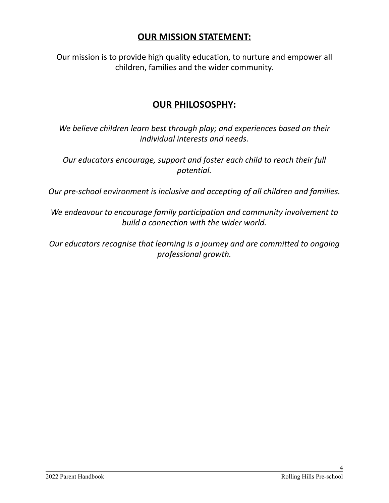# **OUR MISSION STATEMENT:**

Our mission is to provide high quality education, to nurture and empower all children, families and the wider community.

# **OUR PHILOSOSPHY:**

*We believe children learn best through play; and experiences based on their individual interests and needs.*

*Our educators encourage, support and foster each child to reach their full potential.*

*Our pre-school environment is inclusive and accepting of all children and families.*

*We endeavour to encourage family participation and community involvement to build a connection with the wider world.*

*Our educators recognise that learning is a journey and are committed to ongoing professional growth.*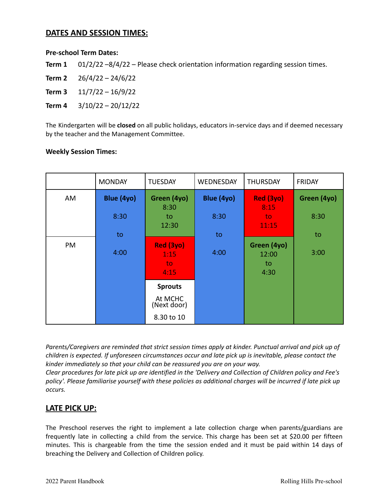#### **DATES AND SESSION TIMES:**

#### **Pre-school Term Dates:**

**Term 1** 01/2/22 –8/4/22 – Please check orientation information regarding session times.

**Term 2** 26/4/22 – 24/6/22

**Term 3** 11/7/22 – 16/9/22

**Term 4** 3/10/22 – 20/12/22

The Kindergarten will be **closed** on all public holidays, educators in-service days and if deemed necessary by the teacher and the Management Committee.

#### **Weekly Session Times:**

|    | <b>MONDAY</b> | <b>TUESDAY</b>                  | WEDNESDAY  | <b>THURSDAY</b>                    | <b>FRIDAY</b> |
|----|---------------|---------------------------------|------------|------------------------------------|---------------|
| AM | Blue (4yo)    | Green (4yo)<br>8:30             | Blue (4yo) | Red (3yo)<br>8:15                  | Green (4yo)   |
|    | 8:30          | to<br>12:30                     | 8:30       | to<br>11:15                        | 8:30          |
|    | to            |                                 | to         |                                    | to            |
| PM | 4:00          | Red (3yo)<br>1:15<br>to<br>4:15 | 4:00       | Green (4yo)<br>12:00<br>to<br>4:30 | 3:00          |
|    |               | <b>Sprouts</b>                  |            |                                    |               |
|    |               | At MCHC<br>(Next door)          |            |                                    |               |
|    |               | 8.30 to 10                      |            |                                    |               |

*Parents/Caregivers are reminded that strict session times apply at kinder. Punctual arrival and pick up of children is expected. If unforeseen circumstances occur and late pick up is inevitable, please contact the kinder immediately so that your child can be reassured you are on your way.*

Clear procedures for late pick up are identified in the 'Delivery and Collection of Children policy and Fee's policy'. Please familiarise yourself with these policies as additional charges will be incurred if late pick up *occurs.*

# **LATE PICK UP:**

The Preschool reserves the right to implement a late collection charge when parents/guardians are frequently late in collecting a child from the service. This charge has been set at \$20.00 per fifteen minutes. This is chargeable from the time the session ended and it must be paid within 14 days of breaching the Delivery and Collection of Children policy.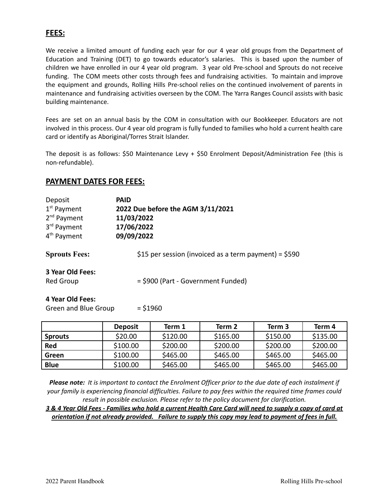## **FEES:**

We receive a limited amount of funding each year for our 4 year old groups from the Department of Education and Training (DET) to go towards educator's salaries. This is based upon the number of children we have enrolled in our 4 year old program. 3 year old Pre-school and Sprouts do not receive funding. The COM meets other costs through fees and fundraising activities. To maintain and improve the equipment and grounds, Rolling Hills Pre-school relies on the continued involvement of parents in maintenance and fundraising activities overseen by the COM. The Yarra Ranges Council assists with basic building maintenance.

Fees are set on an annual basis by the COM in consultation with our Bookkeeper. Educators are not involved in this process. Our 4 year old program is fully funded to families who hold a current health care card or identify as Aboriginal/Torres Strait Islander.

The deposit is as follows: \$50 Maintenance Levy + \$50 Enrolment Deposit/Administration Fee (this is non-refundable).

#### **PAYMENT DATES FOR FEES:**

| Deposit                 | <b>PAID</b>                                           |  |  |
|-------------------------|-------------------------------------------------------|--|--|
| $1st$ Payment           | 2022 Due before the AGM 3/11/2021                     |  |  |
| 2 <sup>nd</sup> Payment | 11/03/2022                                            |  |  |
| 3rd Payment             | 17/06/2022                                            |  |  |
| 4 <sup>th</sup> Payment | 09/09/2022                                            |  |  |
| <b>Sprouts Fees:</b>    | \$15 per session (invoiced as a term payment) = \$590 |  |  |
| 3 Year Old Fees:        |                                                       |  |  |
| Red Group               | = \$900 (Part - Government Funded)                    |  |  |
| 4 Year Old Fees:        |                                                       |  |  |
| Green and Blue Group    | $=$ \$1960                                            |  |  |

|                | <b>Deposit</b> | Term 1   | Term 2   | Term 3   | Term 4   |
|----------------|----------------|----------|----------|----------|----------|
| <b>Sprouts</b> | \$20.00        | \$120.00 | \$165.00 | \$150.00 | \$135.00 |
| <b>Red</b>     | \$100.00       | \$200.00 | \$200.00 | \$200.00 | \$200.00 |
| Green          | \$100.00       | \$465.00 | \$465.00 | \$465.00 | \$465.00 |
| <b>Blue</b>    | \$100.00       | \$465.00 | \$465.00 | \$465.00 | \$465.00 |

Please note: It is important to contact the Enrolment Officer prior to the due date of each instalment if *your family is experiencing financial difficulties. Failure to pay fees within the required time frames could result in possible exclusion. Please refer to the policy document for clarification.*

3 & 4 Year Old Fees - Families who hold a current Health Care Card will need to supply a copy of card at orientation if not already provided. Failure to supply this copy may lead to payment of fees in full.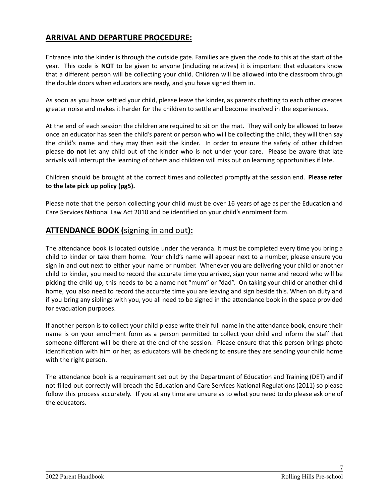# **ARRIVAL AND DEPARTURE PROCEDURE:**

Entrance into the kinder is through the outside gate. Families are given the code to this at the start of the year. This code is **NOT** to be given to anyone (including relatives) it is important that educators know that a different person will be collecting your child. Children will be allowed into the classroom through the double doors when educators are ready, and you have signed them in.

As soon as you have settled your child, please leave the kinder, as parents chatting to each other creates greater noise and makes it harder for the children to settle and become involved in the experiences.

At the end of each session the children are required to sit on the mat. They will only be allowed to leave once an educator has seen the child's parent or person who will be collecting the child, they will then say the child's name and they may then exit the kinder. In order to ensure the safety of other children please **do not** let any child out of the kinder who is not under your care. Please be aware that late arrivals will interrupt the learning of others and children will miss out on learning opportunities if late.

Children should be brought at the correct times and collected promptly at the session end. **Please refer to the late pick up policy (pg5).**

Please note that the person collecting your child must be over 16 years of age as per the Education and Care Services National Law Act 2010 and be identified on your child's enrolment form.

## **ATTENDANCE BOOK (**signing in and out**):**

The attendance book is located outside under the veranda. It must be completed every time you bring a child to kinder or take them home. Your child's name will appear next to a number, please ensure you sign in and out next to either your name or number. Whenever you are delivering your child or another child to kinder, you need to record the accurate time you arrived, sign your name and record who will be picking the child up, this needs to be a name not "mum" or "dad". On taking your child or another child home, you also need to record the accurate time you are leaving and sign beside this. When on duty and if you bring any siblings with you, you all need to be signed in the attendance book in the space provided for evacuation purposes.

If another person is to collect your child please write their full name in the attendance book, ensure their name is on your enrolment form as a person permitted to collect your child and inform the staff that someone different will be there at the end of the session. Please ensure that this person brings photo identification with him or her, as educators will be checking to ensure they are sending your child home with the right person.

The attendance book is a requirement set out by the Department of Education and Training (DET) and if not filled out correctly will breach the Education and Care Services National Regulations (2011) so please follow this process accurately. If you at any time are unsure as to what you need to do please ask one of the educators.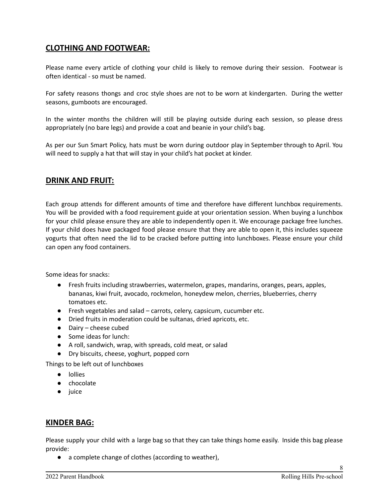# **CLOTHING AND FOOTWEAR:**

Please name every article of clothing your child is likely to remove during their session. Footwear is often identical - so must be named.

For safety reasons thongs and croc style shoes are not to be worn at kindergarten. During the wetter seasons, gumboots are encouraged.

In the winter months the children will still be playing outside during each session, so please dress appropriately (no bare legs) and provide a coat and beanie in your child's bag.

As per our Sun Smart Policy, hats must be worn during outdoor play in September through to April. You will need to supply a hat that will stay in your child's hat pocket at kinder.

# **DRINK AND FRUIT:**

Each group attends for different amounts of time and therefore have different lunchbox requirements. You will be provided with a food requirement guide at your orientation session. When buying a lunchbox for your child please ensure they are able to independently open it. We encourage package free lunches. If your child does have packaged food please ensure that they are able to open it, this includes squeeze yogurts that often need the lid to be cracked before putting into lunchboxes. Please ensure your child can open any food containers.

Some ideas for snacks:

- Fresh fruits including strawberries, watermelon, grapes, mandarins, oranges, pears, apples, bananas, kiwi fruit, avocado, rockmelon, honeydew melon, cherries, blueberries, cherry tomatoes etc.
- Fresh vegetables and salad carrots, celery, capsicum, cucumber etc.
- Dried fruits in moderation could be sultanas, dried apricots, etc.
- Dairy cheese cubed
- Some ideas for lunch:
- A roll, sandwich, wrap, with spreads, cold meat, or salad
- Dry biscuits, cheese, yoghurt, popped corn

Things to be left out of lunchboxes

- lollies
- chocolate
- juice

#### **KINDER BAG:**

Please supply your child with a large bag so that they can take things home easily. Inside this bag please provide:

● a complete change of clothes (according to weather),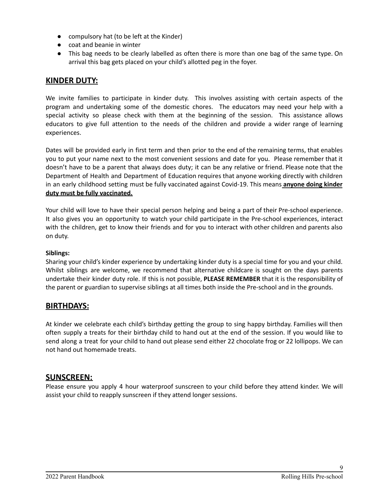- compulsory hat (to be left at the Kinder)
- coat and beanie in winter
- This bag needs to be clearly labelled as often there is more than one bag of the same type. On arrival this bag gets placed on your child's allotted peg in the foyer.

#### **KINDER DUTY:**

We invite families to participate in kinder duty. This involves assisting with certain aspects of the program and undertaking some of the domestic chores. The educators may need your help with a special activity so please check with them at the beginning of the session. This assistance allows educators to give full attention to the needs of the children and provide a wider range of learning experiences.

Dates will be provided early in first term and then prior to the end of the remaining terms, that enables you to put your name next to the most convenient sessions and date for you. Please remember that it doesn't have to be a parent that always does duty; it can be any relative or friend. Please note that the Department of Health and Department of Education requires that anyone working directly with children in an early childhood setting must be fully vaccinated against Covid-19. This means **anyone doing kinder duty must be fully vaccinated.**

Your child will love to have their special person helping and being a part of their Pre-school experience. It also gives you an opportunity to watch your child participate in the Pre-school experiences, interact with the children, get to know their friends and for you to interact with other children and parents also on duty.

#### **Siblings:**

Sharing your child's kinder experience by undertaking kinder duty is a special time for you and your child. Whilst siblings are welcome, we recommend that alternative childcare is sought on the days parents undertake their kinder duty role. If this is not possible, **PLEASE REMEMBER** that it is the responsibility of the parent or guardian to supervise siblings at all times both inside the Pre-school and in the grounds.

#### **BIRTHDAYS:**

At kinder we celebrate each child's birthday getting the group to sing happy birthday. Families will then often supply a treats for their birthday child to hand out at the end of the session. If you would like to send along a treat for your child to hand out please send either 22 chocolate frog or 22 lollipops. We can not hand out homemade treats.

#### **SUNSCREEN:**

Please ensure you apply 4 hour waterproof sunscreen to your child before they attend kinder. We will assist your child to reapply sunscreen if they attend longer sessions.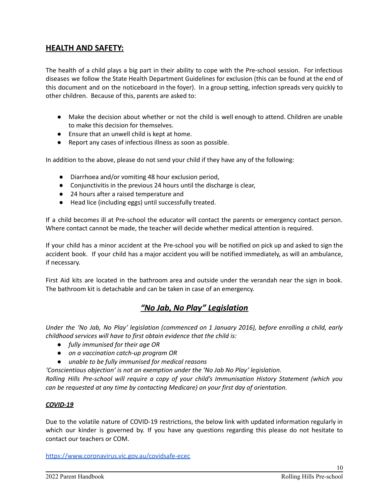# **HEALTH AND SAFETY:**

The health of a child plays a big part in their ability to cope with the Pre-school session. For infectious diseases we follow the State Health Department Guidelines for exclusion (this can be found at the end of this document and on the noticeboard in the foyer). In a group setting, infection spreads very quickly to other children. Because of this, parents are asked to:

- Make the decision about whether or not the child is well enough to attend. Children are unable to make this decision for themselves.
- Ensure that an unwell child is kept at home.
- Report any cases of infectious illness as soon as possible.

In addition to the above, please do not send your child if they have any of the following:

- Diarrhoea and/or vomiting 48 hour exclusion period,
- Conjunctivitis in the previous 24 hours until the discharge is clear,
- 24 hours after a raised temperature and
- Head lice (including eggs) until successfully treated.

If a child becomes ill at Pre-school the educator will contact the parents or emergency contact person. Where contact cannot be made, the teacher will decide whether medical attention is required.

If your child has a minor accident at the Pre-school you will be notified on pick up and asked to sign the accident book. If your child has a major accident you will be notified immediately, as will an ambulance, if necessary.

First Aid kits are located in the bathroom area and outside under the verandah near the sign in book. The bathroom kit is detachable and can be taken in case of an emergency.

# *"No Jab, No Play" Legislation*

*Under the 'No Jab, No Play' legislation (commenced on 1 January 2016), before enrolling a child, early childhood services will have to first obtain evidence that the child is:*

- *fully immunised for their age OR*
- *on a vaccination catch-up program OR*
- *unable to be fully immunised for medical reasons*

*'Conscientious objection' is not an exemption under the 'No Jab No Play' legislation.*

*Rolling Hills Pre-school will require a copy of your child's Immunisation History Statement (which you can be requested at any time by contacting Medicare) on your first day of orientation.*

#### *COVID-19*

Due to the volatile nature of COVID-19 restrictions, the below link with updated information regularly in which our kinder is governed by. If you have any questions regarding this please do not hesitate to contact our teachers or COM.

<https://www.coronavirus.vic.gov.au/covidsafe-ecec>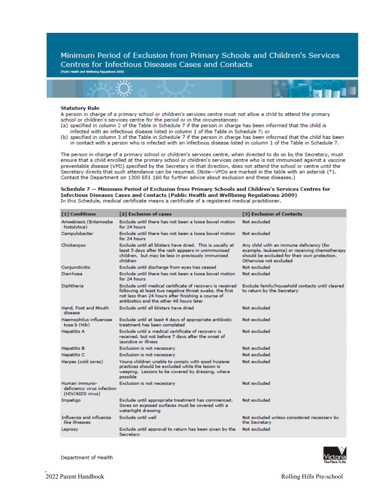Minimum Period of Exclusion from Primary Schools and Children's Services **Centres for Infectious Diseases Cases and Contacts** 

(Public Health and Wellbeing Regulations 2009)



#### **Statutory Rule**

A person in charge of a primary school or children's services centre must not allow a child to attend the primary school or children's services centre for the period or in the circumstances:

- (a) specified in column 2 of the Table in Schedule 7 if the person in charge has been informed that the child is infected with an infectious disease listed in column 1 of the Table in Schedule 7; or
- (b) specified in column 3 of the Table in Schedule 7 if the person in charge has been informed that the child has been in contact with a person who is infected with an infectious disease listed in column 1 of the Table in Schedule 7.

The person in charge of a primary school or children's services centre, when directed to do so by the Secretary, must ensure that a child enrolled at the primary school or children's services centre who is not immunised against a vaccine preventable disease (VPD) specified by the Secretary in that direction, does not attend the school or centre until the Secretary directs that such attendance can be resumed. (Note-VPDs are marked in the table with an asterisk (\*). Contact the Department on 1300 651 160 for further advice about exclusion and these diseases.)

Schedule 7 - Minimum Period of Exclusion from Primary Schools and Children's Services Centres for Infectious Diseases Cases and Contacts (Public Health and Wellbeing Regulations 2009) In this Schedule, medical certificate means a certificate of a registered medical practitioner.

| [1] Conditions                                                  | [2] Exclusion of cases                                                                                                                                                                                                 | [3] Exclusion of Contacts                                                                                                                                           |
|-----------------------------------------------------------------|------------------------------------------------------------------------------------------------------------------------------------------------------------------------------------------------------------------------|---------------------------------------------------------------------------------------------------------------------------------------------------------------------|
| Amoebiasis (Entamoeba<br>histolytica)                           | Exclude until there has not been a loose bowel motion<br>for 24 hours                                                                                                                                                  | Not excluded                                                                                                                                                        |
| Campylobacter                                                   | Exclude until there has not been a loose bowel motion.<br>for 24 hours                                                                                                                                                 | Not excluded                                                                                                                                                        |
| Chickenpox                                                      | Exclude until all blisters have dried. This is usually at<br>least 5 days after the rash appears in unimmunised<br>children, but may be less in previously immunised<br>children                                       | Any child with an immune deficiency (for<br>example, leukaemia) or receiving chemotherapy<br>should be excluded for their own protection.<br>Otherwise not excluded |
| Conjunctivitis                                                  | Exclude until discharge from eyes has ceased                                                                                                                                                                           | Not excluded.                                                                                                                                                       |
| Diarrhoea                                                       | Exclude until there has not been a loose bowel motion<br>for 24 hours.                                                                                                                                                 | Not excluded                                                                                                                                                        |
| Diphtheria                                                      | Exclude until medical certificate of recovery is received<br>following at least two negative throat swabs, the first<br>not less than 24 hours after finishing a course of<br>antibiotics and the other 48 hours later | Exclude family/household contacts until cleared<br>to return by the Secretary                                                                                       |
| Hand, Foot and Mouth<br>disease                                 | Exclude until all blisters have dried                                                                                                                                                                                  | Not excluded                                                                                                                                                        |
| Haemophilus influenzae<br>type b (Hib)                          | Exclude until at least 4 days of appropriate antibiotic<br>treatment has been completed                                                                                                                                | Not excluded                                                                                                                                                        |
| <b>Hepatitis A</b>                                              | Exclude until a medical certificate of recovery is<br>received, but not before 7 days after the onset of<br>jaundice or illness                                                                                        | Not excluded                                                                                                                                                        |
| <b>Hepatitis B</b>                                              | Exclusion is not necessary                                                                                                                                                                                             | Not excluded                                                                                                                                                        |
| <b>Hepatitis C</b>                                              | Exclusion is not necessary                                                                                                                                                                                             | Not excluded                                                                                                                                                        |
| Herpes (cold sores)                                             | Young children unable to comply with good hygiene<br>practices should be excluded while the lesion is<br>weeping. Lesions to be covered by dressing, where<br>possible                                                 | Not excluded                                                                                                                                                        |
| Human immuno-<br>deficiency virus infection<br>(HIV/AIDS virus) | Exclusion is not necessary                                                                                                                                                                                             | Not excluded                                                                                                                                                        |
| Impetigo                                                        | Exclude until appropriate treatment has commenced.<br>Sores on exposed surfaces must be covered with a<br>watertight dressing                                                                                          | Not excluded                                                                                                                                                        |
| Influenza and influenza<br>like illnesses                       | Exclude until well                                                                                                                                                                                                     | Not excluded unless considered necessary by<br>the Secretary                                                                                                        |
| Leprosy                                                         | Exclude until approval to return has been given by the<br>Secretary                                                                                                                                                    | Not excluded                                                                                                                                                        |

Department of Health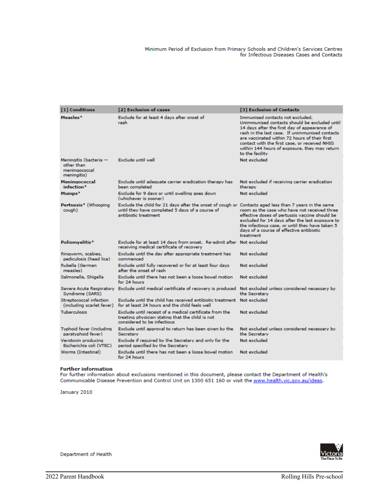| [1] Conditions                                                       | [2] Exclusion of cases                                                                                                                                                           | [3] Exclusion of Contacts                                                                                                                                                                                                                                                                                                                                 |
|----------------------------------------------------------------------|----------------------------------------------------------------------------------------------------------------------------------------------------------------------------------|-----------------------------------------------------------------------------------------------------------------------------------------------------------------------------------------------------------------------------------------------------------------------------------------------------------------------------------------------------------|
|                                                                      |                                                                                                                                                                                  |                                                                                                                                                                                                                                                                                                                                                           |
| Measles*                                                             | Exclude for at least 4 days after onset of<br>rash                                                                                                                               | Immunised contacts not excluded.<br>Unimmunised contacts should be excluded until<br>14 days after the first day of appearance of<br>rash in the last case. If unimmunised contacts<br>are vaccinated within 72 hours of their first<br>contact with the first case, or received NHIG<br>within 144 hours of exposure, they may return<br>to the facility |
| Meningitis (bacteria -<br>other than<br>meningococcal<br>meningitis) | Exclude until well                                                                                                                                                               | Not excluded                                                                                                                                                                                                                                                                                                                                              |
| Meningococcal<br>infection*                                          | Exclude until adequate carrier eradication therapy has<br>been completed                                                                                                         | Not excluded if receiving carrier eradication<br>therapy                                                                                                                                                                                                                                                                                                  |
| Mumps*                                                               | Exclude for 9 days or until swelling goes down<br>(whichever is sooner)                                                                                                          | Not excluded                                                                                                                                                                                                                                                                                                                                              |
| Pertussis* (Whooping<br>cough)                                       | Exclude the child for 21 days after the onset of cough or Contacts aged less than 7 years in the same<br>until they have completed 5 days of a course of<br>antibiotic treatment | room as the case who have not received three<br>effective doses of pertussis vaccine should be<br>excluded for 14 days after the last exposure to<br>the infectious case, or until they have taken 5<br>days of a course of effective antibiotic<br>treatment                                                                                             |
| Poliomyelitis*                                                       | Exclude for at least 14 days from onset. Re-admit after Not excluded<br>receiving medical certificate of recovery                                                                |                                                                                                                                                                                                                                                                                                                                                           |
| Ringworm, scabies,<br>pediculosis (head lice)                        | Exclude until the day after appropriate treatment has<br>commenced                                                                                                               | Not excluded                                                                                                                                                                                                                                                                                                                                              |
| Rubella (German<br>measles)                                          | Exclude until fully recovered or for at least four days<br>after the onset of rash.                                                                                              | Not excluded                                                                                                                                                                                                                                                                                                                                              |
| Salmonella, Shigella                                                 | Exclude until there has not been a loose bowel motion.<br>for 24 hours                                                                                                           | Not excluded                                                                                                                                                                                                                                                                                                                                              |
| Syndrome (SARS)                                                      | Severe Acute Respiratory Exclude until medical certificate of recovery is produced Not excluded unless considered necessary by                                                   | the Secretary                                                                                                                                                                                                                                                                                                                                             |
| Streptococcal infection<br>(including scarlet fever)                 | Exclude until the child has received antibiotic treatment Not excluded<br>for at least 24 hours and the child feels well.                                                        |                                                                                                                                                                                                                                                                                                                                                           |
| <b>Tuberculosis</b>                                                  | Exclude until receipt of a medical certificate from the<br>treating physician stating that the child is not<br>considered to be infectious                                       | Not excluded                                                                                                                                                                                                                                                                                                                                              |
| Typhoid fever (including<br>paratyphoid fever)                       | Exclude until approval to return has been given by the<br>Secretary                                                                                                              | Not excluded unless considered necessary by<br>the Secretary                                                                                                                                                                                                                                                                                              |
| Verotoxin producina<br>Escherichia coli (VTEC)                       | Exclude if required by the Secretary and only for the<br>period specified by the Secretary                                                                                       | Not excluded                                                                                                                                                                                                                                                                                                                                              |
| Worms (Intestinal)                                                   | Exclude until there has not been a loose bowel motion<br>for 24 hours                                                                                                            | Not excluded                                                                                                                                                                                                                                                                                                                                              |

#### **Further information**

For further information about exclusions mentioned in this document, please contact the Department of Health's Communicable Disease Prevention and Control Unit on 1300 651 160 or visit the www.health.vic.gov.au/ideas.

January 2010



Department of Health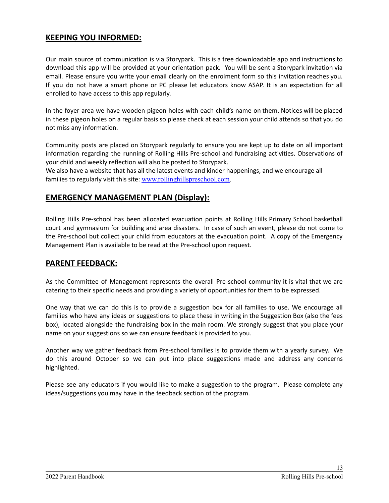# **KEEPING YOU INFORMED:**

Our main source of communication is via Storypark. This is a free downloadable app and instructions to download this app will be provided at your orientation pack. You will be sent a Storypark invitation via email. Please ensure you write your email clearly on the enrolment form so this invitation reaches you. If you do not have a smart phone or PC please let educators know ASAP. It is an expectation for all enrolled to have access to this app regularly.

In the foyer area we have wooden pigeon holes with each child's name on them. Notices will be placed in these pigeon holes on a regular basis so please check at each session your child attends so that you do not miss any information.

Community posts are placed on Storypark regularly to ensure you are kept up to date on all important information regarding the running of Rolling Hills Pre-school and fundraising activities. Observations of your child and weekly reflection will also be posted to Storypark.

We also have a website that has all the latest events and kinder happenings, and we encourage all families to regularly visit this site: [www.rollinghillspreschool.com.](http://www.rollinghillspreschool.com/)

## **EMERGENCY MANAGEMENT PLAN (Display):**

Rolling Hills Pre-school has been allocated evacuation points at Rolling Hills Primary School basketball court and gymnasium for building and area disasters. In case of such an event, please do not come to the Pre-school but collect your child from educators at the evacuation point. A copy of the Emergency Management Plan is available to be read at the Pre-school upon request.

#### **PARENT FEEDBACK:**

As the Committee of Management represents the overall Pre-school community it is vital that we are catering to their specific needs and providing a variety of opportunities for them to be expressed.

One way that we can do this is to provide a suggestion box for all families to use. We encourage all families who have any ideas or suggestions to place these in writing in the Suggestion Box (also the fees box), located alongside the fundraising box in the main room. We strongly suggest that you place your name on your suggestions so we can ensure feedback is provided to you.

Another way we gather feedback from Pre-school families is to provide them with a yearly survey. We do this around October so we can put into place suggestions made and address any concerns highlighted.

Please see any educators if you would like to make a suggestion to the program. Please complete any ideas/suggestions you may have in the feedback section of the program.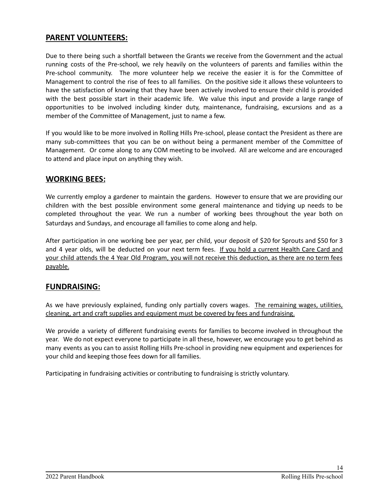# **PARENT VOLUNTEERS:**

Due to there being such a shortfall between the Grants we receive from the Government and the actual running costs of the Pre-school, we rely heavily on the volunteers of parents and families within the Pre-school community. The more volunteer help we receive the easier it is for the Committee of Management to control the rise of fees to all families. On the positive side it allows these volunteers to have the satisfaction of knowing that they have been actively involved to ensure their child is provided with the best possible start in their academic life. We value this input and provide a large range of opportunities to be involved including kinder duty, maintenance, fundraising, excursions and as a member of the Committee of Management, just to name a few.

If you would like to be more involved in Rolling Hills Pre-school, please contact the President as there are many sub-committees that you can be on without being a permanent member of the Committee of Management. Or come along to any COM meeting to be involved. All are welcome and are encouraged to attend and place input on anything they wish.

## **WORKING BEES:**

We currently employ a gardener to maintain the gardens. However to ensure that we are providing our children with the best possible environment some general maintenance and tidying up needs to be completed throughout the year. We run a number of working bees throughout the year both on Saturdays and Sundays, and encourage all families to come along and help.

After participation in one working bee per year, per child, your deposit of \$20 for Sprouts and \$50 for 3 and 4 year olds, will be deducted on your next term fees. If you hold a current Health Care Card and your child attends the 4 Year Old Program, you will not receive this deduction, as there are no term fees payable.

#### **FUNDRAISING:**

As we have previously explained, funding only partially covers wages. The remaining wages, utilities, cleaning, art and craft supplies and equipment must be covered by fees and fundraising.

We provide a variety of different fundraising events for families to become involved in throughout the year. We do not expect everyone to participate in all these, however, we encourage you to get behind as many events as you can to assist Rolling Hills Pre-school in providing new equipment and experiences for your child and keeping those fees down for all families.

Participating in fundraising activities or contributing to fundraising is strictly voluntary.